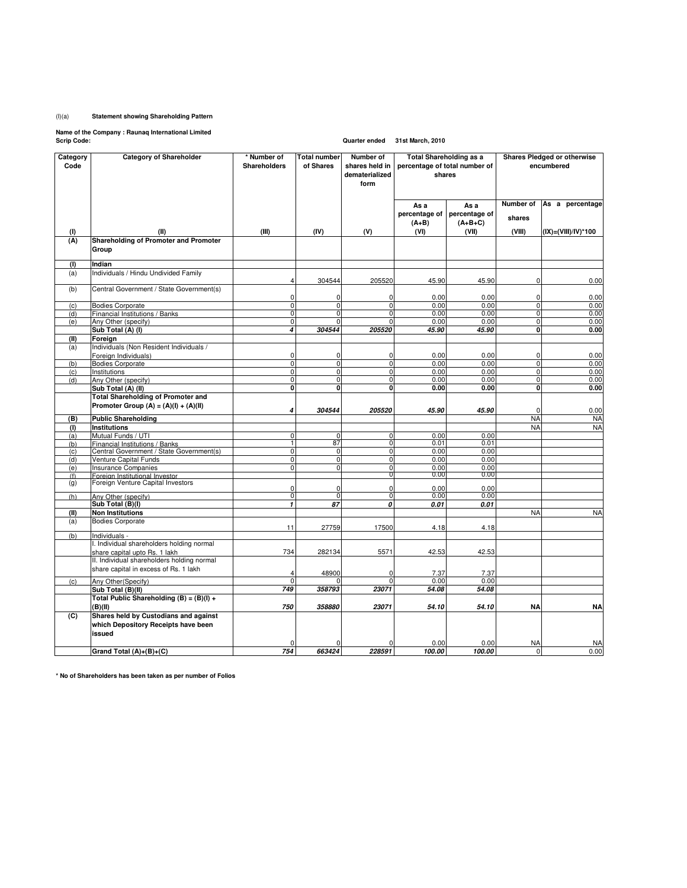## (I)(a) **Statement showing Shareholding Pattern**

**Name of the Company : Raunaq International Limited Scrip Code: Quarter ended 31st March, 2010**

| Category    | <b>Category of Shareholder</b>                       | * Number of                          | <b>Total number</b>   | Number of                  | <b>Total Shareholding as a</b>          |               | Shares Pledged or otherwise |                     |
|-------------|------------------------------------------------------|--------------------------------------|-----------------------|----------------------------|-----------------------------------------|---------------|-----------------------------|---------------------|
| Code        |                                                      | Shareholders                         | of Shares             | shares held in             | percentage of total number of<br>shares |               | encumbered                  |                     |
|             |                                                      |                                      |                       | dematerialized             |                                         |               |                             |                     |
|             |                                                      |                                      |                       | form                       |                                         |               |                             |                     |
|             |                                                      |                                      |                       |                            |                                         |               |                             |                     |
|             |                                                      |                                      |                       |                            | As a                                    | As a          | Number of                   | As a percentage     |
|             |                                                      |                                      |                       |                            | percentage of                           | percentage of |                             |                     |
|             |                                                      |                                      |                       |                            | $(A+B)$                                 | $(A+B+C)$     | shares                      |                     |
| (1)         | (II)                                                 | (III)                                | (IV)                  | (V)                        | (VI)                                    | (VII)         | (VIII)                      | (IX)=(VIII)/IV)*100 |
| (A)         | Shareholding of Promoter and Promoter                |                                      |                       |                            |                                         |               |                             |                     |
|             | Group                                                |                                      |                       |                            |                                         |               |                             |                     |
| (1)         | Indian                                               |                                      |                       |                            |                                         |               |                             |                     |
| (a)         | Individuals / Hindu Undivided Family                 |                                      |                       |                            |                                         |               |                             |                     |
|             |                                                      | $\overline{4}$                       | 304544                | 205520                     | 45.90                                   | 45.90         | 0                           | 0.00                |
| (b)         | Central Government / State Government(s)             |                                      |                       |                            |                                         |               |                             |                     |
|             |                                                      | $\mathbf 0$                          | 0                     | 0                          | 0.00                                    | 0.00          | 0                           | 0.00                |
| (c)         | <b>Bodies Corporate</b>                              | $\mathbf 0$                          | $\mathbf 0$           | $\mathbf 0$                | 0.00                                    | 0.00          | $\mathbf{0}$                | 0.00                |
| (d)         | Financial Institutions / Banks                       | ō                                    | $\mathbf 0$           | $\overline{0}$<br>$\Omega$ | 0.00                                    | 0.00          | $\overline{0}$              | 0.00                |
| (e)         | Any Other (specify)<br>Sub Total (A) (I)             | $\pmb{0}$<br>$\overline{\mathbf{A}}$ | $\mathbf 0$<br>304544 | 205520                     | 0.00<br>45.90                           | 0.00<br>45.90 | $\mathbf 0$<br>0            | 0.00<br>0.00        |
|             |                                                      |                                      |                       |                            |                                         |               |                             |                     |
| (II)<br>(a) | Foreign<br>Individuals (Non Resident Individuals /   |                                      |                       |                            |                                         |               |                             |                     |
|             | Foreign Individuals)                                 | $\pmb{0}$                            | 0                     | 0                          | 0.00                                    | 0.00          | 0                           | 0.00                |
| (b)         | <b>Bodies Corporate</b>                              | O                                    | $\mathbf 0$           | $\mathbf{0}$               | 0.00                                    | 0.00          | $\mathbf 0$                 | 0.00                |
| (c)         | Institutions                                         | $\pmb{0}$                            | $\mathbf 0$           | $\mathbf 0$                | 0.00                                    | 0.00          | $\mathbf 0$                 | 0.00                |
| (d)         | Any Other (specify)                                  | $\overline{0}$                       | $\mathbf 0$           | $\mathbf 0$                | 0.00                                    | 0.00          | $\mathbf 0$                 | 0.00                |
|             | Sub Total (A) (II)                                   | $\mathbf 0$                          | $\mathbf 0$           | <sub>0</sub>               | 0.00                                    | 0.00          | <sub>0</sub>                | 0.00                |
|             | <b>Total Shareholding of Promoter and</b>            |                                      |                       |                            |                                         |               |                             |                     |
|             | Promoter Group $(A) = (A)(I) + (A)(II)$              |                                      |                       |                            |                                         |               |                             |                     |
|             |                                                      | 4                                    | 304544                | 205520                     | 45.90                                   | 45.90         | $\Omega$                    | 0.00                |
| (B)         | <b>Public Shareholding</b>                           |                                      |                       |                            |                                         |               | <b>NA</b>                   | <b>NA</b>           |
| (1)         | Institutions                                         | O                                    | $\mathbf 0$           | $\mathbf 0$                | 0.00                                    | 0.00          | <b>NA</b>                   | <b>NA</b>           |
| (a)<br>(b)  | Mutual Funds / UTI<br>Financial Institutions / Banks | T                                    | 87                    | $\overline{0}$             | 0.01                                    | 0.01          |                             |                     |
| (c)         | Central Government / State Government(s)             | $\overline{0}$                       | $\mathbf 0$           | $\mathbf{0}$               | 0.00                                    | 0.00          |                             |                     |
| (d)         | Venture Capital Funds                                | $\mathbf 0$                          | $\pmb{0}$             | $\mathbf 0$                | 0.00                                    | 0.00          |                             |                     |
| (e)         | <b>Insurance Companies</b>                           | O                                    | $\mathbf 0$           | $\mathbf{0}$               | 0.00                                    | 0.00          |                             |                     |
| (f)         | Foreign Institutional Investor                       |                                      |                       | 01                         | 0.00                                    | 0.00          |                             |                     |
| (g)         | Foreign Venture Capital Investors                    | $\mathbf 0$                          | $\mathbf 0$           | $\mathbf 0$                | 0.00                                    | 0.00          |                             |                     |
| (h)         | Any Other (specify)                                  | ō                                    | ō                     | $\overline{0}$             | 0.00                                    | 0.00          |                             |                     |
|             | Sub Total (B)(I)                                     | $\overline{1}$                       | 87                    | 0                          | 0.01                                    | 0.01          |                             |                     |
| (II)        | <b>Non Institutions</b>                              |                                      |                       |                            |                                         |               | <b>NA</b>                   | <b>NA</b>           |
| (a)         | <b>Bodies Corporate</b>                              |                                      |                       |                            |                                         |               |                             |                     |
|             |                                                      | 11                                   | 27759                 | 17500                      | 4.18                                    | 4.18          |                             |                     |
| (b)         | Individuals -                                        |                                      |                       |                            |                                         |               |                             |                     |
|             | I. Individual shareholders holding normal            |                                      |                       |                            |                                         |               |                             |                     |
|             | share capital upto Rs. 1 lakh                        | 734                                  | 282134                | 5571                       | 42.53                                   | 42.53         |                             |                     |
|             | II. Individual shareholders holding normal           |                                      |                       |                            |                                         |               |                             |                     |
|             | share capital in excess of Rs. 1 lakh                | $\Delta$                             | 48900                 | $\Omega$                   | 7.37                                    | 7.37          |                             |                     |
| (c)         | Any Other(Specify)                                   | $\overline{0}$                       |                       |                            | 0.00                                    | 0.00          |                             |                     |
|             | Sub Total (B)(II)                                    | 749                                  | 358793                | 23071                      | 54.08                                   | 54.08         |                             |                     |
|             | Total Public Shareholding $(B) = (B)(I) +$           |                                      |                       |                            |                                         |               |                             |                     |
|             | (B)(II)                                              | 750                                  | 358880                | 23071                      | 54.10                                   | 54.10         | <b>NA</b>                   | <b>NA</b>           |
| (C)         | Shares held by Custodians and against                |                                      |                       |                            |                                         |               |                             |                     |
|             | which Depository Receipts have been                  |                                      |                       |                            |                                         |               |                             |                     |
|             | issued                                               |                                      |                       |                            |                                         |               |                             |                     |
|             |                                                      |                                      |                       |                            | 0.00                                    | 0.00          | <b>NA</b>                   | <b>NA</b>           |
|             | Grand Total (A)+(B)+(C)                              | 754                                  | 663424                | 228591                     | 100.00                                  | 100.00        | $\Omega$                    | 0.00                |

**\* No of Shareholders has been taken as per number of Folios**